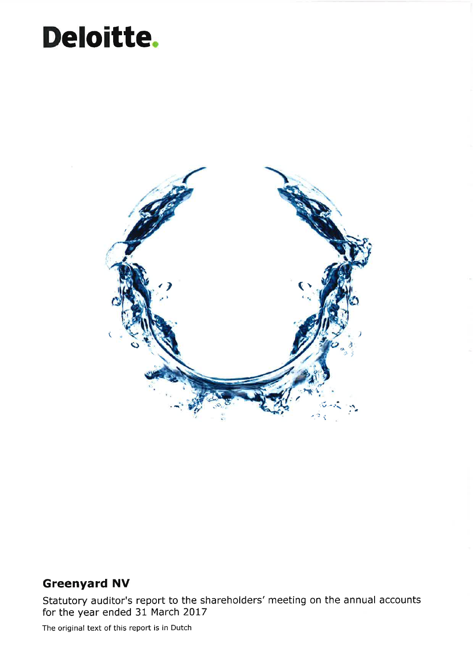## Deloitte.



### Greenyard NV

Statutory auditor's report to the shareholders' meeting on the annual accounts for the year ended  $31$  March 2017

The original text of this report is in Dutch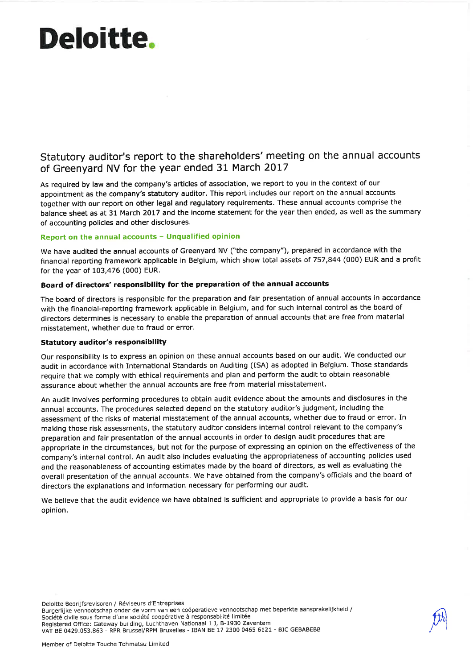# Deloittê,

Statutory auditor's report to the shareholders' meeting on the annual accounts of Greenyard NV for the year ended 31 March 2017

As required by law and the company's articles of association, we report to you in the context of our appointment as the company's statutory auditor. This report includes our report on the annual accounts together with our report on other legal and regulatory requirements, These annual accounts comprise the balance sheet as at 31 March 2017 and the income statement for the year then ended, as well as the summary of accounting policies and other disclosures,

#### Report on the annual accounts - Unqualified opinion

We have audited the annual accounts of Greenyard NV ("the company"), prepared in accordance with the financial reporting framework applicable in Belgium, which show total assets of 757,844 (000) EUR and a profit for the year of 103,476 (000) EUR,

#### Board of directors' responsibility for the preparation of the annual accounts

The board of directors is responsible for the preparation and fair presentation of annual accounts in accordance with the financial-reporting framework applicable in Belgium, and for such internal control as the board of directors determines is necessary to enable the preparation of annual accounts that are free from material misstatement, whether due to fraud or error,

#### Statutory auditor's responsibility

Our responsibility is to express an opinion on these annual accounts based on our audit. We conducted our audit in accordance with International Standards on Auditing (ISA) as adopted in Belgium. Those standards require that we comply with ethical requirements and plan and perform the audit to obtain reasonable assurance about whether the annual accounts are free from material misstatement.

An audit involves performing procedures to obtain audit evidence about the amounts and disclosures in the annual accounts, The procedures selected depend on the statutory auditor's judgment, including the assessment of the risks of material misstatement of the annual accounts, whether due to fraud or error, In making those risk assessments, the statutory auditor considers internal control relevant to the company's preparation and fair presentation of the annual accounts in order to design audit procedures that are appropriate in the circumstances, but not for the purpose of expressing an opinion on the effectiveness of the company's internal control. An audit also includes evaluating the appropriateness of accounting policies used and the reasonableness of accounting estimates made by the board of directors, as well as evaluating the overall presentation of the annual accounts. We have obtained from the company's officials and the board of directors the explanations and information necessary for performing our audit.

We believe that the audit evidence we have obtained is sufficient and appropriate to provide a basis for our opinion,

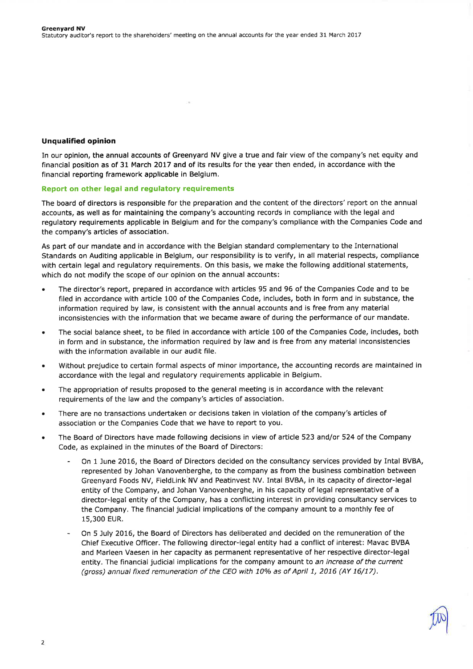#### Unqualified opinion

In our opinion, the annual accounts of Greenyard NV give a true and fair view of the company's net equity and financial position as of 31 March 2017 and of its results for the year then ended, in accordance with the financial reporting framework applicable in Belgium.

#### Report on other legal and regulatory requirements

The board of directors is responsible for the preparation and the content of the directors'report on the annual accounts, as well as for maintaining the company's accounting records in compliance with the legal and regulatory requirements applicable in Belgium and for the company's compliance with the Companies Code and the company's articles of association.

As part of our mandate and in accordance with the Belgian standard complementary to the International Standards on Auditing applicable in Belgium, our responsibility is to verify, in all material respects, compliance with certain legal and regulatory requirements. On this basis, we make the following additional statements, which do not modify the scope of our opinion on the annual accounts:

- ' The director's report, prepared in accordance with articles 95 and 96 of the Companies Code and to be filed in accordance with article 100 of the Companies Code, includes, both in form and in substance, the information required by law, is consistent with the annual accounts and is free from any material inconsistencies with the information that we became aware of during the performance of our mandate.
- . The social balance sheet, to be filed in accordance with article 100 of the Companies Code, includes, both in form and in substance, the information required by law and is free from any material inconsistencies with the information available in our audit file.
- . Without prejudice to certain formal aspects of minor importance, the accounting records are maintained in accordance with the legal and regulatory requirements applicable in Belgium.
- . The appropriation of results proposed to the general meeting is in accordance with the relevant requirements of the law and the company's articles of association.
- . There are no transactions undertaken or decisions taken in violation of the company's articles of association or the Companies Code that we have to report to you.
- . The Board of Directors have made following decisions in view of article 523 and/or 524 of the Company Code, as explained in the minutes of the Board of Directors:
	- On 1 June 2016, the Board of Directors decided on the consultancy services provided by Intal BVBA, represented by Johan Vanovenberghe, to the company as from the business combination between Greenyard Foods NV, FieldLink NV and Peatinvest NV. Intal BVBA, in its capacity of director-legal entity of the Company, and Johan Vanovenberghe, in his capacity of legal representative of a director-legal entity of the Company, has a conflicting interest in providing consultancy services to the Company. The financial judicial implications of the company amount to a monthly fee of 15,300 EUR.
	- On 5 July 2016, the Board of Directors has deliberated and decided on the remuneration of the Chief Executive Officer. The following director-legal entity had a conflict of interest: Mavac BVBA and Marleen Vaesen in her capacity as permanent representative of her respective director-legal entity. The financial judicial implications for the company amount to an increase of the current (gross) annual fixed remuneration of the CEO with 10% as of April 1, 2016 (AY 16/17).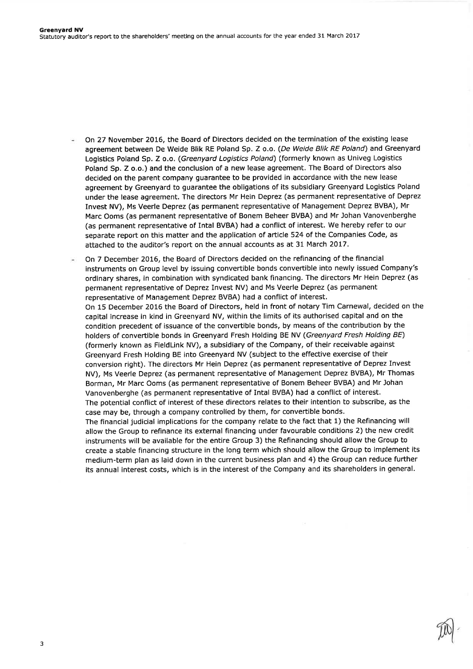On 27 November 2016, the Board of Directors decided on the termination of the existing lease agreement between De Weide Blik RE Poland Sp. Z o.o. (De Weide Blik RE Poland) and Greenyard Logistics Poland Sp. Z o.o. (Greenyard Logistics Poland) (formerly known as Univeg Logistics Poland Sp. Z o.o.) and the conclusion of a new lease agreement. The Board of Directors also decided on the parent company guarantee to be provided in accordance with the new lease agreement by Greenyard to guarantee the obligations of its subsidiary Greenyard Logistics Poland under the lease agreement. The directors Mr Hein Deprez (as permanent representative of Deprez Invest NV), Ms Veerle Deprez (as permanent representative of Management Deprez BVBA), Mr Marc Ooms (as permanent representative of Bonem Beheer BVBA) and Mr Johan Vanovenberghe (as permanent representative of Intal BVBA) had a conflict of interest. We hereby refer to our separate report on this matter and the application of article 524 of the Companies Code, as attached to the auditor's report on the annual accounts as at 31 March 2017.

On 7 December 2016, the Board of Directors decided on the refinancing of the financial instruments on Group level by issuing convertible bonds convertible into newly issued Company's ordinary shares, in combination with syndicated bank financing. The directors Mr Hein Deprez (as permanent representative of Deprez Invest NV) and Ms Veerle Deprez (as permanent representative of Management Deprez BVBA) had a conflict of interest. On 15 December 2016 the Board of Directors, held in front of notary Tim Carnewal, decided on the capital increase in kind in Greenyard NV, within the limits of its authorised capital and on the condition precedent of issuance of the convertible bonds, by means of the contribution by the holders of convertible bonds in Greenyard Fresh Holding BE NV (Greenyard Fresh Holding BE) (formerly known as FieldLink NV), a subsidiary of the Company, of their receivable against Greenyard Fresh Holding BE into Greenyard NV (subject to the effective exercise of their conversion right). The directors Mr Hein Deprez (as permanent representative of Deprez Invest NV), Ms Veerle Deprez (as permanent representative of Management Deprez BVBA), Mr Thomas Borman, Mr Marc Ooms (as permanent representative of Bonem Beheer BVBA) and Mr Johan Vanovenberghe (as permanent representative of Intal BVBA) had a conflict of interest. The potential conflict of interest of these directors relates to their intention to subscribe, as the case may be, through a company controlled by them, for convertible bonds. The financial judicial implications for the company relate to the fact that 1) the Refinancing will allow the Group to refinance its external financing under favourable conditions 2) the new credit instruments will be available for the entire Group 3) the Refinancing should allow the Group to create a stable financing structure in the long term which should allow the Group to implement its medium-term plan as laid down in the current business plan and 4) the Group can reduce further its annual interest costs, which is in the interest of the Company and its shareholders in general.